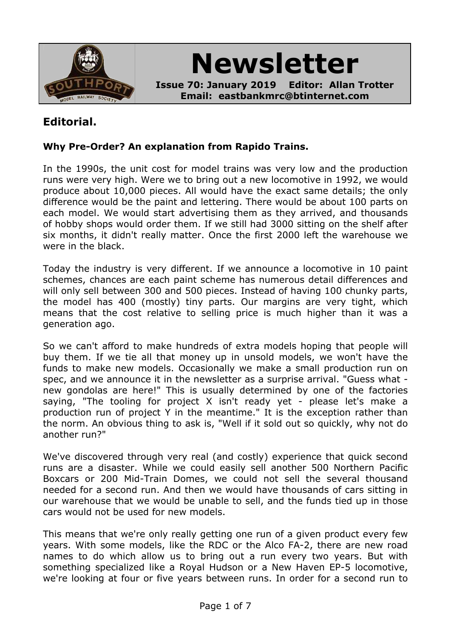

**Newsletter**

**Issue 70: January 2019 Editor: Allan Trotter Email: eastbankmrc@btinternet.com**

### **Editorial.**

#### **Why Pre-Order? An explanation from Rapido Trains.**

In the 1990s, the unit cost for model trains was very low and the production runs were very high. Were we to bring out a new locomotive in 1992, we would produce about 10,000 pieces. All would have the exact same details; the only difference would be the paint and lettering. There would be about 100 parts on each model. We would start advertising them as they arrived, and thousands of hobby shops would order them. If we still had 3000 sitting on the shelf after six months, it didn't really matter. Once the first 2000 left the warehouse we were in the black.

Today the industry is very different. If we announce a locomotive in 10 paint schemes, chances are each paint scheme has numerous detail differences and will only sell between 300 and 500 pieces. Instead of having 100 chunky parts, the model has 400 (mostly) tiny parts. Our margins are very tight, which means that the cost relative to selling price is much higher than it was a generation ago.

So we can't afford to make hundreds of extra models hoping that people will buy them. If we tie all that money up in unsold models, we won't have the funds to make new models. Occasionally we make a small production run on spec, and we announce it in the newsletter as a surprise arrival. "Guess what new gondolas are here!" This is usually determined by one of the factories saying, "The tooling for project X isn't ready yet - please let's make a production run of project Y in the meantime." It is the exception rather than the norm. An obvious thing to ask is, "Well if it sold out so quickly, why not do another run?"

We've discovered through very real (and costly) experience that quick second runs are a disaster. While we could easily sell another 500 Northern Pacific Boxcars or 200 Mid-Train Domes, we could not sell the several thousand needed for a second run. And then we would have thousands of cars sitting in our warehouse that we would be unable to sell, and the funds tied up in those cars would not be used for new models.

This means that we're only really getting one run of a given product every few years. With some models, like the RDC or the Alco FA-2, there are new road names to do which allow us to bring out a run every two years. But with something specialized like a Royal Hudson or a New Haven EP-5 locomotive, we're looking at four or five years between runs. In order for a second run to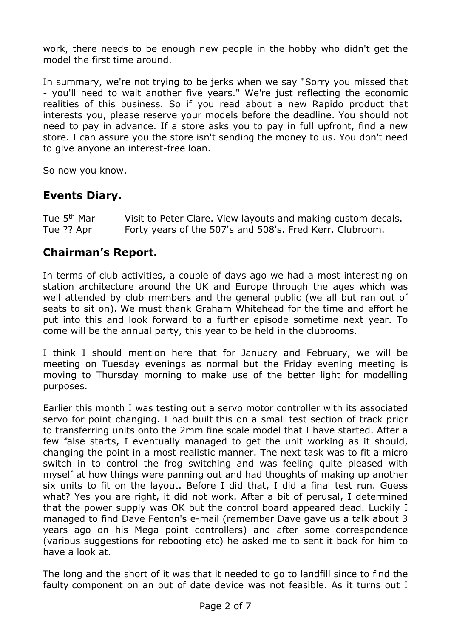work, there needs to be enough new people in the hobby who didn't get the model the first time around.

In summary, we're not trying to be jerks when we say "Sorry you missed that - you'll need to wait another five years." We're just reflecting the economic realities of this business. So if you read about a new Rapido product that interests you, please reserve your models before the deadline. You should not need to pay in advance. If a store asks you to pay in full upfront, find a new store. I can assure you the store isn't sending the money to us. You don't need to give anyone an interest-free loan.

So now you know.

### **Events Diary.**

| Tue 5 <sup>th</sup> Mar | Visit to Peter Clare. View layouts and making custom decals. |
|-------------------------|--------------------------------------------------------------|
| Tue ?? Apr              | Forty years of the 507's and 508's. Fred Kerr. Clubroom.     |

#### **Chairman's Report.**

In terms of club activities, a couple of days ago we had a most interesting on station architecture around the UK and Europe through the ages which was well attended by club members and the general public (we all but ran out of seats to sit on). We must thank Graham Whitehead for the time and effort he put into this and look forward to a further episode sometime next year. To come will be the annual party, this year to be held in the clubrooms.

I think I should mention here that for January and February, we will be meeting on Tuesday evenings as normal but the Friday evening meeting is moving to Thursday morning to make use of the better light for modelling purposes.

Earlier this month I was testing out a servo motor controller with its associated servo for point changing. I had built this on a small test section of track prior to transferring units onto the 2mm fine scale model that I have started. After a few false starts, I eventually managed to get the unit working as it should, changing the point in a most realistic manner. The next task was to fit a micro switch in to control the frog switching and was feeling quite pleased with myself at how things were panning out and had thoughts of making up another six units to fit on the layout. Before I did that, I did a final test run. Guess what? Yes you are right, it did not work. After a bit of perusal, I determined that the power supply was OK but the control board appeared dead. Luckily I managed to find Dave Fenton's e-mail (remember Dave gave us a talk about 3 years ago on his Mega point controllers) and after some correspondence (various suggestions for rebooting etc) he asked me to sent it back for him to have a look at.

The long and the short of it was that it needed to go to landfill since to find the faulty component on an out of date device was not feasible. As it turns out I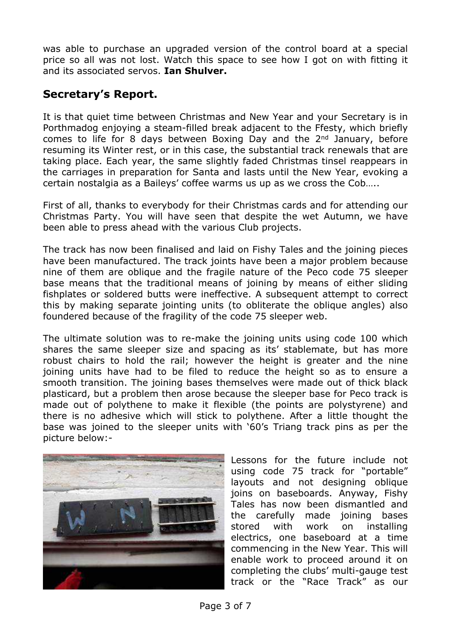was able to purchase an upgraded version of the control board at a special price so all was not lost. Watch this space to see how I got on with fitting it and its associated servos. **Ian Shulver.**

### **Secretary's Report.**

It is that quiet time between Christmas and New Year and your Secretary is in Porthmadog enjoying a steam-filled break adjacent to the Ffesty, which briefly comes to life for 8 days between Boxing Day and the 2<sup>nd</sup> January, before resuming its Winter rest, or in this case, the substantial track renewals that are taking place. Each year, the same slightly faded Christmas tinsel reappears in the carriages in preparation for Santa and lasts until the New Year, evoking a certain nostalgia as a Baileys' coffee warms us up as we cross the Cob…..

First of all, thanks to everybody for their Christmas cards and for attending our Christmas Party. You will have seen that despite the wet Autumn, we have been able to press ahead with the various Club projects.

The track has now been finalised and laid on Fishy Tales and the joining pieces have been manufactured. The track joints have been a major problem because nine of them are oblique and the fragile nature of the Peco code 75 sleeper base means that the traditional means of joining by means of either sliding fishplates or soldered butts were ineffective. A subsequent attempt to correct this by making separate jointing units (to obliterate the oblique angles) also foundered because of the fragility of the code 75 sleeper web.

The ultimate solution was to re-make the joining units using code 100 which shares the same sleeper size and spacing as its' stablemate, but has more robust chairs to hold the rail; however the height is greater and the nine joining units have had to be filed to reduce the height so as to ensure a smooth transition. The joining bases themselves were made out of thick black plasticard, but a problem then arose because the sleeper base for Peco track is made out of polythene to make it flexible (the points are polystyrene) and there is no adhesive which will stick to polythene. After a little thought the base was joined to the sleeper units with '60's Triang track pins as per the picture below:-



Lessons for the future include not using code 75 track for "portable" layouts and not designing oblique joins on baseboards. Anyway, Fishy Tales has now been dismantled and the carefully made joining bases stored with work on installing electrics, one baseboard at a time commencing in the New Year. This will enable work to proceed around it on completing the clubs' multi-gauge test track or the "Race Track" as our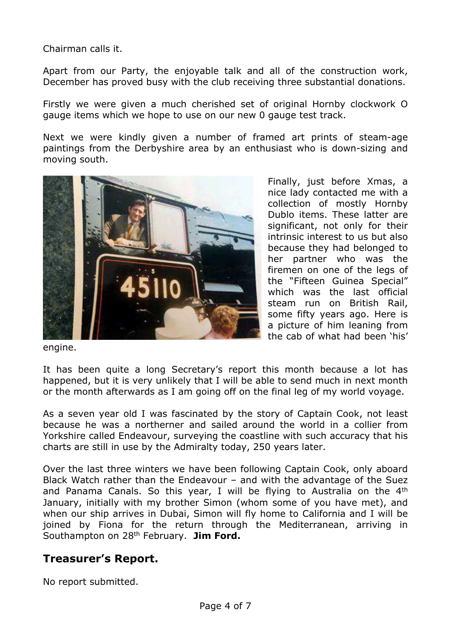Chairman calls it.

Apart from our Party, the enjoyable talk and all of the construction work, December has proved busy with the club receiving three substantial donations.

Firstly we were given a much cherished set of original Hornby clockwork O gauge items which we hope to use on our new 0 gauge test track.

Next we were kindly given a number of framed art prints of steam-age paintings from the Derbyshire area by an enthusiast who is down-sizing and moving south.



Finally, just before Xmas, a nice lady contacted me with a collection of mostly Hornby Dublo items. These latter are significant, not only for their intrinsic interest to us but also because they had belonged to her partner who was the firemen on one of the legs of the "Fifteen Guinea Special" which was the last official steam run on British Rail, some fifty years ago. Here is a picture of him leaning from the cab of what had been 'his'

engine.

It has been quite a long Secretary's report this month because a lot has happened, but it is very unlikely that I will be able to send much in next month or the month afterwards as I am going off on the final leg of my world voyage.

As a seven year old I was fascinated by the story of Captain Cook, not least because he was a northerner and sailed around the world in a collier from Yorkshire called Endeavour, surveying the coastline with such accuracy that his charts are still in use by the Admiralty today, 250 years later.

Over the last three winters we have been following Captain Cook, only aboard Black Watch rather than the Endeavour – and with the advantage of the Suez and Panama Canals. So this year, I will be flying to Australia on the 4th January, initially with my brother Simon (whom some of you have met), and when our ship arrives in Dubai, Simon will fly home to California and I will be joined by Fiona for the return through the Mediterranean, arriving in Southampton on 28th February. **Jim Ford.**

#### **Treasurer's Report.**

No report submitted.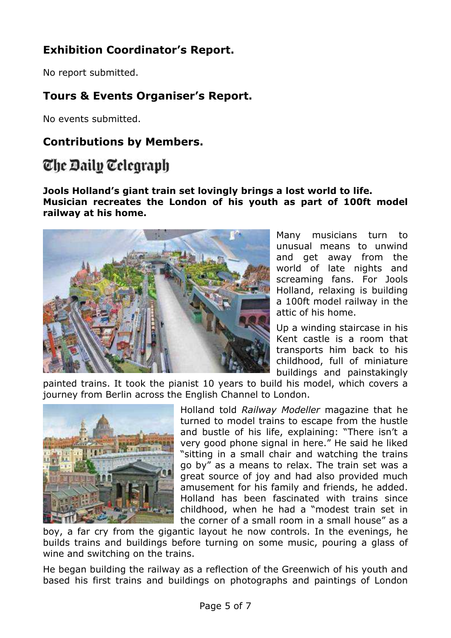# **Exhibition Coordinator's Report.**

No report submitted.

# **Tours & Events Organiser's Report.**

No events submitted.

# **Contributions by Members.**

# The Daily Telegraph

#### **Jools Holland's giant train set lovingly brings a lost world to life. Musician recreates the London of his youth as part of 100ft model railway at his home.**



Many musicians turn to unusual means to unwind and get away from the world of late nights and screaming fans. For Jools Holland, relaxing is building a 100ft model railway in the attic of his home.

Up a winding staircase in his Kent castle is a room that transports him back to his childhood, full of miniature buildings and painstakingly

painted trains. It took the pianist 10 years to build his model, which covers a journey from Berlin across the English Channel to London.



Holland told *Railway Modeller* magazine that he turned to model trains to escape from the hustle and bustle of his life, explaining: "There isn't a very good phone signal in here." He said he liked "sitting in a small chair and watching the trains go by" as a means to relax. The train set was a great source of joy and had also provided much amusement for his family and friends, he added. Holland has been fascinated with trains since childhood, when he had a "modest train set in the corner of a small room in a small house" as a

boy, a far cry from the gigantic layout he now controls. In the evenings, he builds trains and buildings before turning on some music, pouring a glass of wine and switching on the trains.

He began building the railway as a reflection of the Greenwich of his youth and based his first trains and buildings on photographs and paintings of London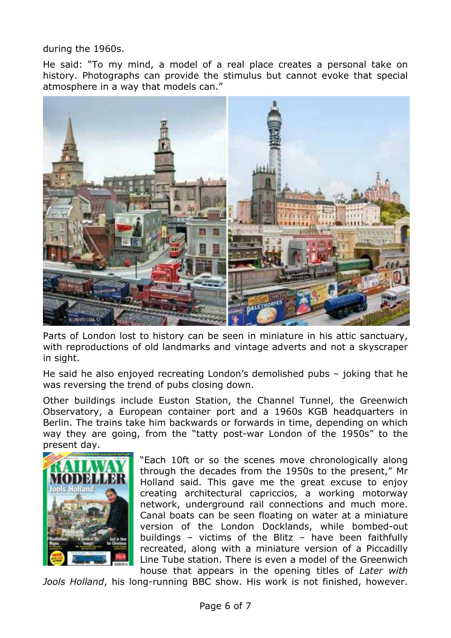during the 1960s.

He said: "To my mind, a model of a real place creates a personal take on history. Photographs can provide the stimulus but cannot evoke that special atmosphere in a way that models can."



Parts of London lost to history can be seen in miniature in his attic sanctuary, with reproductions of old landmarks and vintage adverts and not a skyscraper in sight.

He said he also enjoyed recreating London's demolished pubs – joking that he was reversing the trend of pubs closing down.

Other buildings include Euston Station, the Channel Tunnel, the Greenwich Observatory, a European container port and a 1960s KGB headquarters in Berlin. The trains take him backwards or forwards in time, depending on which way they are going, from the "tatty post-war London of the 1950s" to the present day.



"Each 10ft or so the scenes move chronologically along through the decades from the 1950s to the present," Mr Holland said. This gave me the great excuse to enjoy creating architectural capriccios, a working motorway network, underground rail connections and much more. Canal boats can be seen floating on water at a miniature version of the London Docklands, while bombed-out buildings – victims of the Blitz – have been faithfully recreated, along with a miniature version of a Piccadilly Line Tube station. There is even a model of the Greenwich house that appears in the opening titles of *Later with*

*Jools Holland*, his long-running BBC show. His work is not finished, however.